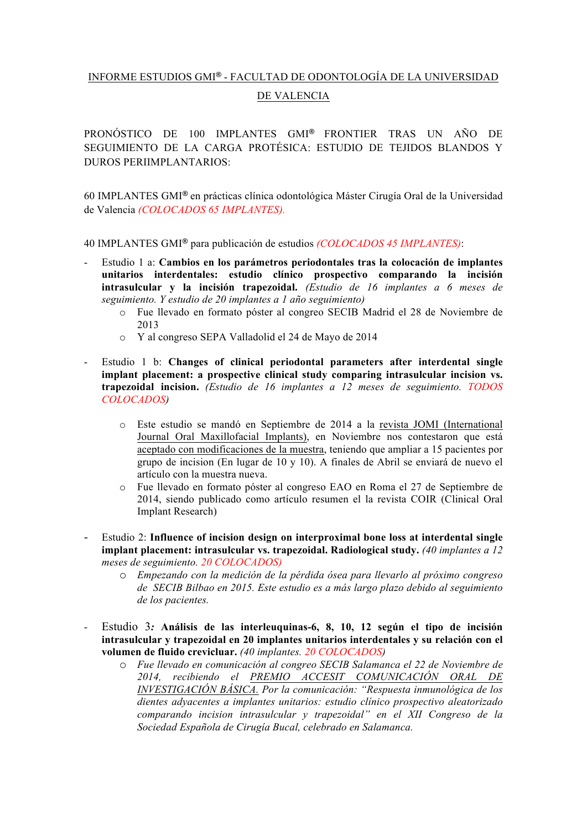## INFORME ESTUDIOS GMI**®** - FACULTAD DE ODONTOLOGÍA DE LA UNIVERSIDAD DE VALENCIA

PRONÓSTICO DE 100 IMPLANTES GMI**®** FRONTIER TRAS UN AÑO DE SEGUIMIENTO DE LA CARGA PROTÉSICA: ESTUDIO DE TEJIDOS BLANDOS Y DUROS PERIIMPLANTARIOS:

60 IMPLANTES GMI**®** en prácticas clínica odontológica Máster Cirugía Oral de la Universidad de Valencia *(COLOCADOS 65 IMPLANTES).* 

40 IMPLANTES GMI**®** para publicación de estudios *(COLOCADOS 45 IMPLANTES)*:

- Estudio 1 a: **Cambios en los parámetros periodontales tras la colocación de implantes unitarios interdentales: estudio clínico prospectivo comparando la incisión intrasulcular y la incisión trapezoidal.** *(Estudio de 16 implantes a 6 meses de seguimiento. Y estudio de 20 implantes a 1 año seguimiento)*
	- o Fue llevado en formato póster al congreo SECIB Madrid el 28 de Noviembre de 2013
	- o Y al congreso SEPA Valladolid el 24 de Mayo de 2014
- Estudio 1 b: **Changes of clinical periodontal parameters after interdental single implant placement: a prospective clinical study comparing intrasulcular incision vs. trapezoidal incision.** *(Estudio de 16 implantes a 12 meses de seguimiento. TODOS COLOCADOS)*
	- o Este estudio se mandó en Septiembre de 2014 a la revista JOMI (International Journal Oral Maxillofacial Implants), en Noviembre nos contestaron que está aceptado con modificaciones de la muestra, teniendo que ampliar a 15 pacientes por grupo de incision (En lugar de 10 y 10). A finales de Abril se enviará de nuevo el artículo con la muestra nueva.
	- o Fue llevado en formato póster al congreso EAO en Roma el 27 de Septiembre de 2014, siendo publicado como artículo resumen el la revista COIR (Clinical Oral Implant Research)
- Estudio 2: **Influence of incision design on interproximal bone loss at interdental single implant placement: intrasulcular vs. trapezoidal. Radiological study.** *(40 implantes a 12 meses de seguimiento. 20 COLOCADOS)*
	- o *Empezando con la medición de la pérdida ósea para llevarlo al próximo congreso de SECIB Bilbao en 2015. Este estudio es a más largo plazo debido al seguimiento de los pacientes.*
- Estudio 3*:* **Análisis de las interleuquinas-6, 8, 10, 12 según el tipo de incisión intrasulcular y trapezoidal en 20 implantes unitarios interdentales y su relación con el volumen de fluido crevicluar.** *(40 implantes. 20 COLOCADOS)*
	- o *Fue llevado en comunicación al congreo SECIB Salamanca el 22 de Noviembre de 2014, recibiendo el PREMIO ACCESIT COMUNICACIÓN ORAL DE INVESTIGACIÓN BÁSICA. Por la comunicación: "Respuesta inmunológica de los dientes adyacentes a implantes unitarios: estudio clínico prospectivo aleatorizado comparando incision intrasulcular y trapezoidal" en el XII Congreso de la Sociedad Española de Cirugía Bucal, celebrado en Salamanca.*